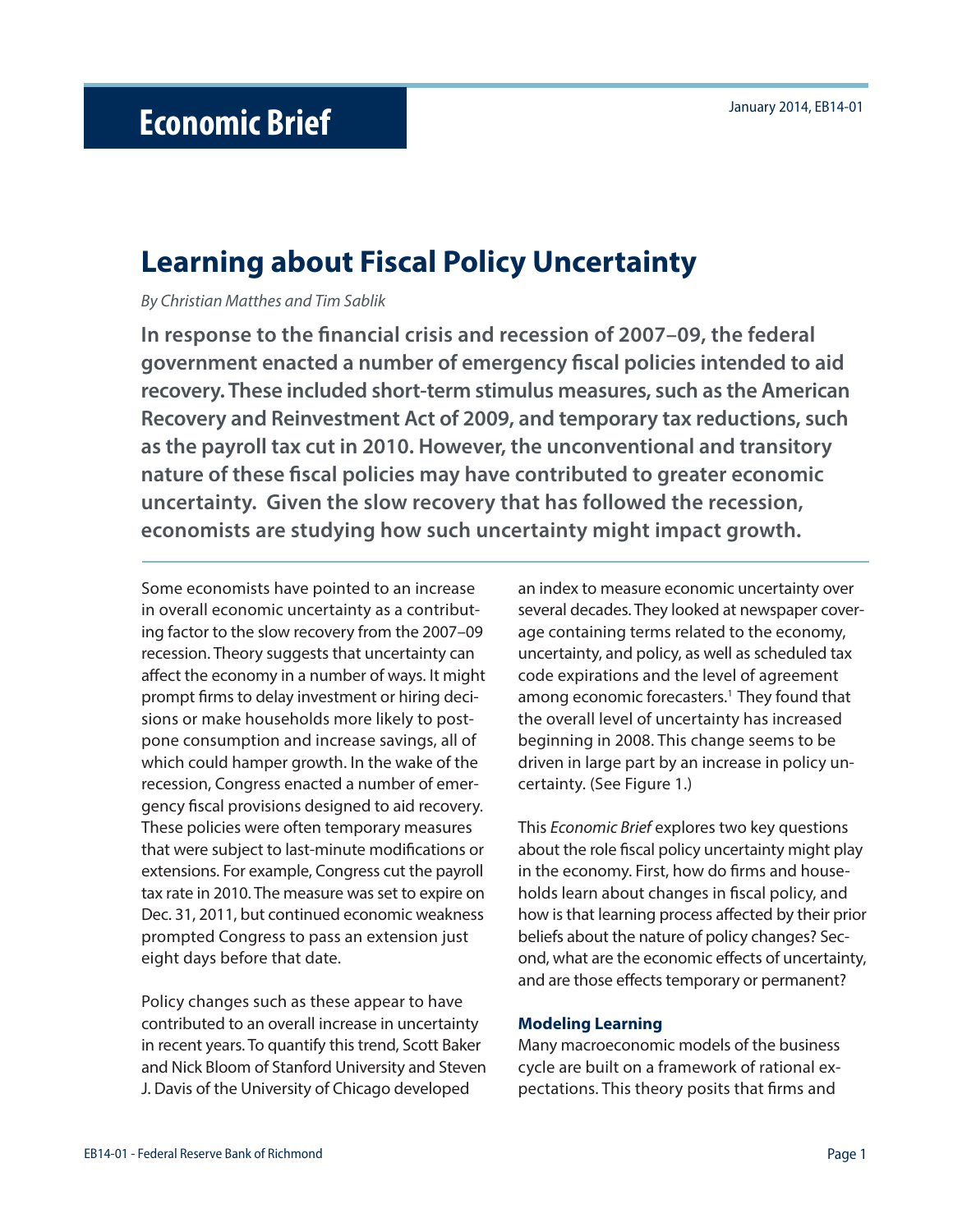# **Learning about Fiscal Policy Uncertainty**

By Christian Matthes and Tim Sablik

In response to the financial crisis and recession of 2007–09, the federal **government enacted a number of emergency fi scal policies intended to aid recovery. These included short-term stimulus measures, such as the American Recovery and Reinvestment Act of 2009, and temporary tax reductions, such as the payroll tax cut in 2010. However, the unconventional and transitory nature of these fiscal policies may have contributed to greater economic uncertainty. Given the slow recovery that has followed the recession, economists are studying how such uncertainty might impact growth.**

Some economists have pointed to an increase in overall economic uncertainty as a contributing factor to the slow recovery from the 2007–09 recession. Theory suggests that uncertainty can affect the economy in a number of ways. It might prompt firms to delay investment or hiring decisions or make households more likely to postpone consumption and increase savings, all of which could hamper growth. In the wake of the recession, Congress enacted a number of emergency fiscal provisions designed to aid recovery. These policies were often temporary measures that were subject to last-minute modifications or extensions. For example, Congress cut the payroll tax rate in 2010. The measure was set to expire on Dec. 31, 2011, but continued economic weakness prompted Congress to pass an extension just eight days before that date.

Policy changes such as these appear to have contributed to an overall increase in uncertainty in recent years. To quantify this trend, Scott Baker and Nick Bloom of Stanford University and Steven J. Davis of the University of Chicago developed

an index to measure economic uncertainty over several decades. They looked at newspaper coverage containing terms related to the economy, uncertainty, and policy, as well as scheduled tax code expirations and the level of agreement among economic forecasters.<sup>1</sup> They found that the overall level of uncertainty has increased beginning in 2008. This change seems to be driven in large part by an increase in policy uncertainty. (See Figure 1.)

This Economic Brief explores two key questions about the role fiscal policy uncertainty might play in the economy. First, how do firms and households learn about changes in fiscal policy, and how is that learning process affected by their prior beliefs about the nature of policy changes? Second, what are the economic effects of uncertainty, and are those effects temporary or permanent?

### **Modeling Learning**

Many macroeconomic models of the business cycle are built on a framework of rational expectations. This theory posits that firms and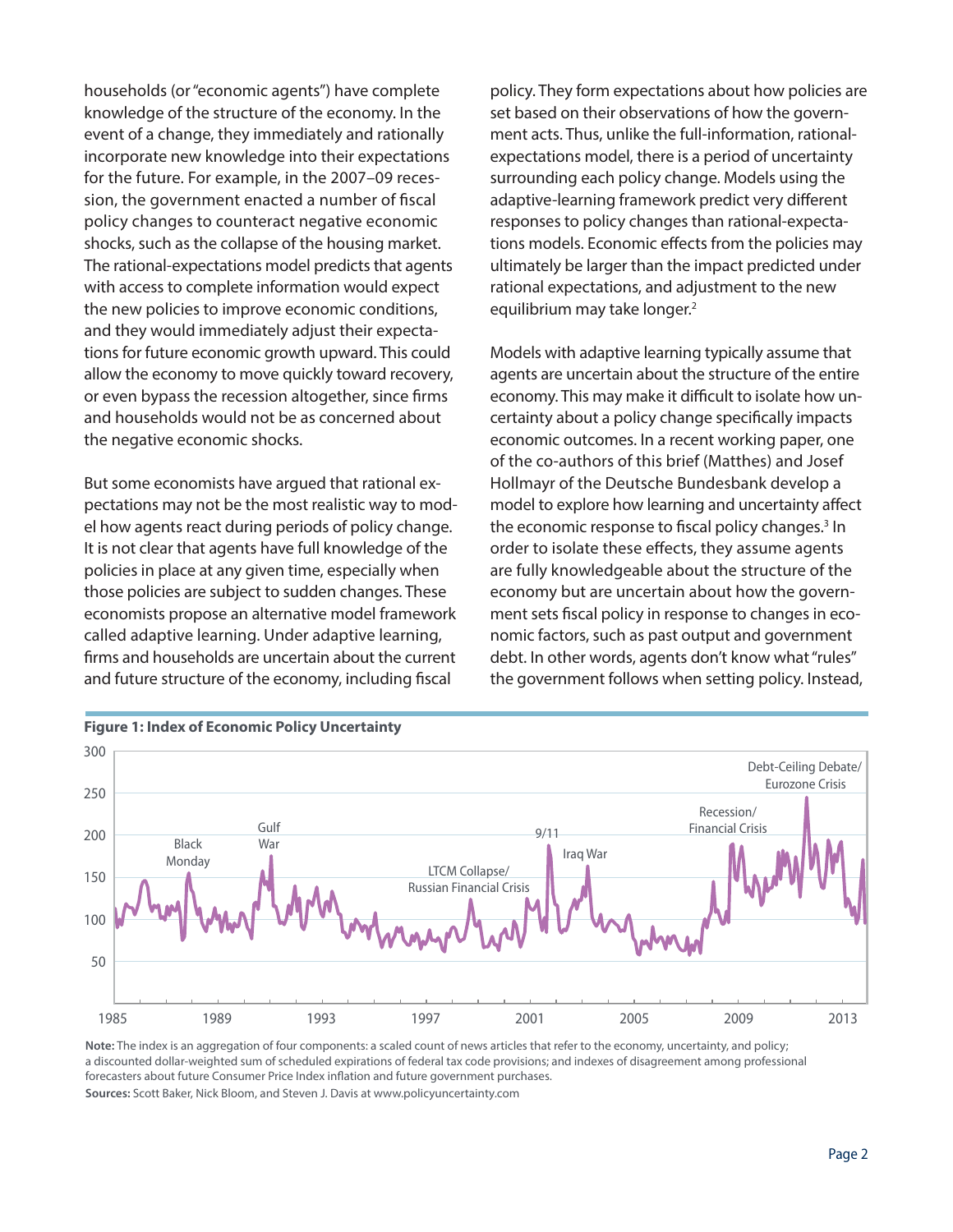households (or "economic agents") have complete knowledge of the structure of the economy. In the event of a change, they immediately and rationally incorporate new knowledge into their expectations for the future. For example, in the 2007–09 recession, the government enacted a number of fiscal policy changes to counteract negative economic shocks, such as the collapse of the housing market. The rational-expectations model predicts that agents with access to complete information would expect the new policies to improve economic conditions, and they would immediately adjust their expectations for future economic growth upward. This could allow the economy to move quickly toward recovery, or even bypass the recession altogether, since firms and households would not be as concerned about the negative economic shocks.

But some economists have argued that rational expectations may not be the most realistic way to model how agents react during periods of policy change. It is not clear that agents have full knowledge of the policies in place at any given time, especially when those policies are subject to sudden changes. These economists propose an alternative model framework called adaptive learning. Under adaptive learning, firms and households are uncertain about the current and future structure of the economy, including fiscal

policy. They form expectations about how policies are set based on their observations of how the government acts. Thus, unlike the full-information, rationalexpectations model, there is a period of uncertainty surrounding each policy change. Models using the adaptive-learning framework predict very different responses to policy changes than rational-expectations models. Economic effects from the policies may ultimately be larger than the impact predicted under rational expectations, and adjustment to the new equilibrium may take longer.<sup>2</sup>

Models with adaptive learning typically assume that agents are uncertain about the structure of the entire economy. This may make it difficult to isolate how uncertainty about a policy change specifically impacts economic outcomes. In a recent working paper, one of the co-authors of this brief (Matthes) and Josef Hollmayr of the Deutsche Bundesbank develop a model to explore how learning and uncertainty affect the economic response to fiscal policy changes.<sup>3</sup> In order to isolate these effects, they assume agents are fully knowledgeable about the structure of the economy but are uncertain about how the government sets fiscal policy in response to changes in economic factors, such as past output and government debt. In other words, agents don't know what "rules" the government follows when setting policy. Instead,



**Note:** The index is an aggregation of four components: a scaled count of news articles that refer to the economy, uncertainty, and policy; a discounted dollar-weighted sum of scheduled expirations of federal tax code provisions; and indexes of disagreement among professional forecasters about future Consumer Price Index inflation and future government purchases. **Sources:** Scott Baker, Nick Bloom, and Steven J. Davis at www.policyuncertainty.com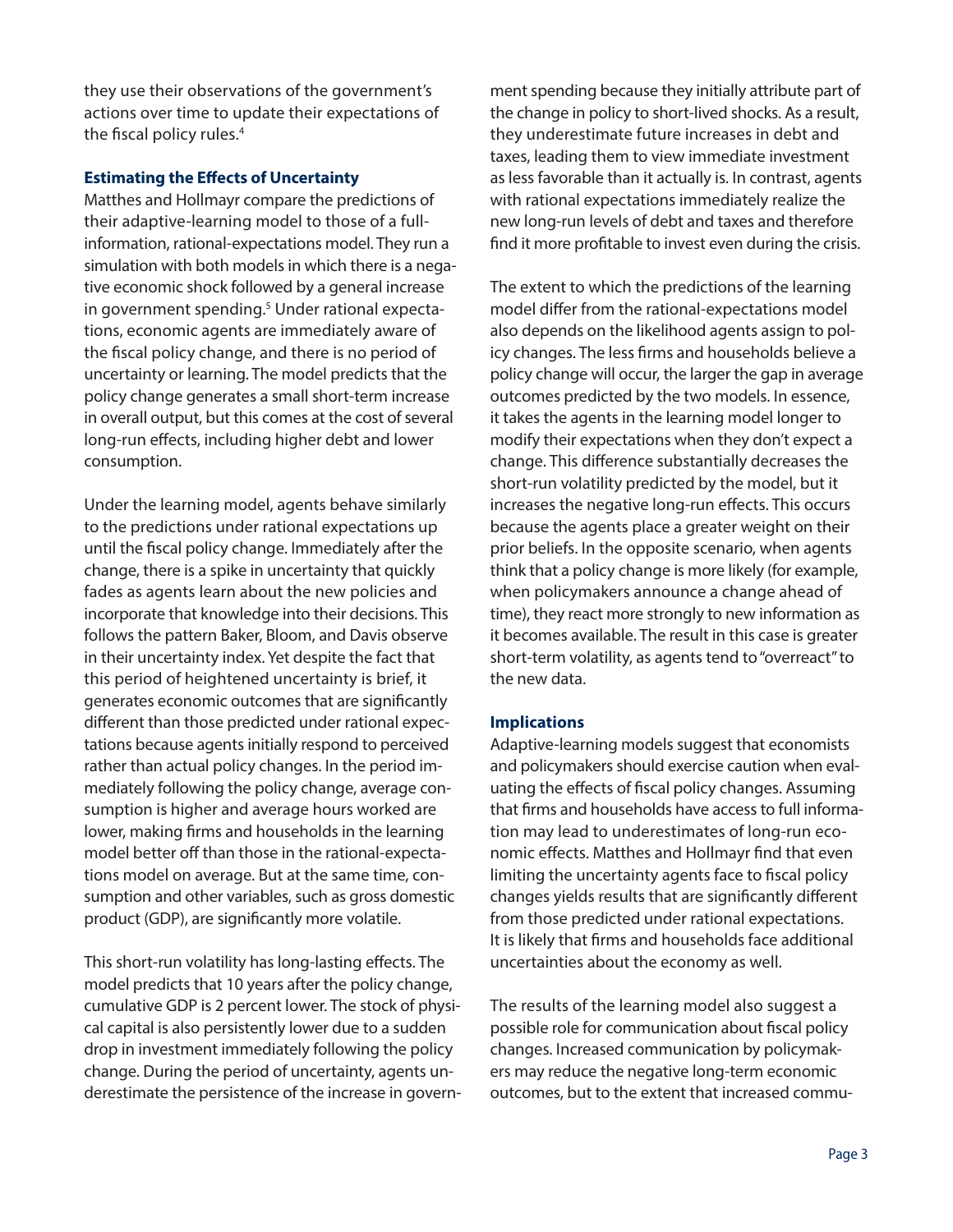they use their observations of the government's actions over time to update their expectations of the fiscal policy rules. $4$ 

## **Estimating the Effects of Uncertainty**

Matthes and Hollmayr compare the predictions of their adaptive-learning model to those of a fullinformation, rational-expectations model. They run a simulation with both models in which there is a negative economic shock followed by a general increase in government spending.<sup>5</sup> Under rational expectations, economic agents are immediately aware of the fiscal policy change, and there is no period of uncertainty or learning. The model predicts that the policy change generates a small short-term increase in overall output, but this comes at the cost of several long-run effects, including higher debt and lower consumption.

Under the learning model, agents behave similarly to the predictions under rational expectations up until the fiscal policy change. Immediately after the change, there is a spike in uncertainty that quickly fades as agents learn about the new policies and incorporate that knowledge into their decisions. This follows the pattern Baker, Bloom, and Davis observe in their uncertainty index. Yet despite the fact that this period of heightened uncertainty is brief, it generates economic outcomes that are significantly different than those predicted under rational expectations because agents initially respond to perceived rather than actual policy changes. In the period immediately following the policy change, average consumption is higher and average hours worked are lower, making firms and households in the learning model better off than those in the rational-expectations model on average. But at the same time, consumption and other variables, such as gross domestic product (GDP), are significantly more volatile.

This short-run volatility has long-lasting effects. The model predicts that 10 years after the policy change, cumulative GDP is 2 percent lower. The stock of physical capital is also persistently lower due to a sudden drop in investment immediately following the policy change. During the period of uncertainty, agents underestimate the persistence of the increase in government spending because they initially attribute part of the change in policy to short-lived shocks. As a result, they underestimate future increases in debt and taxes, leading them to view immediate investment as less favorable than it actually is. In contrast, agents with rational expectations immediately realize the new long-run levels of debt and taxes and therefore find it more profitable to invest even during the crisis.

The extent to which the predictions of the learning model differ from the rational-expectations model also depends on the likelihood agents assign to policy changes. The less firms and households believe a policy change will occur, the larger the gap in average outcomes predicted by the two models. In essence, it takes the agents in the learning model longer to modify their expectations when they don't expect a change. This difference substantially decreases the short-run volatility predicted by the model, but it increases the negative long-run effects. This occurs because the agents place a greater weight on their prior beliefs. In the opposite scenario, when agents think that a policy change is more likely (for example, when policymakers announce a change ahead of time), they react more strongly to new information as it becomes available. The result in this case is greater short-term volatility, as agents tend to "overreact" to the new data.

## **Implications**

Adaptive-learning models suggest that economists and policymakers should exercise caution when evaluating the effects of fiscal policy changes. Assuming that firms and households have access to full information may lead to underestimates of long-run economic effects. Matthes and Hollmayr find that even limiting the uncertainty agents face to fiscal policy changes yields results that are significantly different from those predicted under rational expectations. It is likely that firms and households face additional uncertainties about the economy as well.

The results of the learning model also suggest a possible role for communication about fiscal policy changes. Increased communication by policymakers may reduce the negative long-term economic outcomes, but to the extent that increased commu